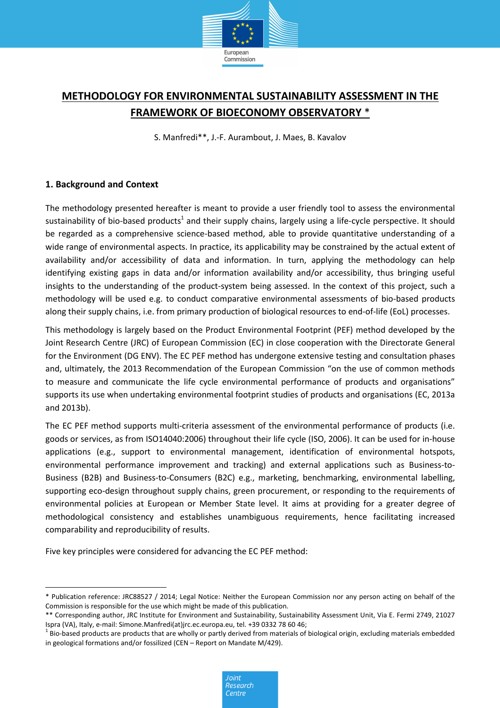

# **METHODOLOGY FOR ENVIRONMENTAL SUSTAINABILITY ASSESSMENT IN THE FRAMEWORK OF BIOECONOMY OBSERVATORY** \*

S. Manfredi\*\*, J.-F. Aurambout, J. Maes, B. Kavalov

## **1. Background and Context**

The methodology presented hereafter is meant to provide a user friendly tool to assess the environmental sustainability of bio-based products<sup>1</sup> and their supply chains, largely using a life-cycle perspective. It should be regarded as a comprehensive science-based method, able to provide quantitative understanding of a wide range of environmental aspects. In practice, its applicability may be constrained by the actual extent of availability and/or accessibility of data and information. In turn, applying the methodology can help identifying existing gaps in data and/or information availability and/or accessibility, thus bringing useful insights to the understanding of the product-system being assessed. In the context of this project, such a methodology will be used e.g. to conduct comparative environmental assessments of bio-based products along their supply chains, i.e. from primary production of biological resources to end-of-life (EoL) processes.

This methodology is largely based on the Product Environmental Footprint (PEF) method developed by the Joint Research Centre (JRC) of European Commission (EC) in close cooperation with the Directorate General for the Environment (DG ENV). The EC PEF method has undergone extensive testing and consultation phases and, ultimately, the 2013 Recommendation of the European Commission "on the use of common methods to measure and communicate the life cycle environmental performance of products and organisations" supports its use when undertaking environmental footprint studies of products and organisations (EC, 2013a and 2013b).

The EC PEF method supports multi-criteria assessment of the environmental performance of products (i.e. goods or services, as from ISO14040:2006) throughout their life cycle (ISO, 2006). It can be used for in-house applications (e.g., support to environmental management, identification of environmental hotspots, environmental performance improvement and tracking) and external applications such as Business-to-Business (B2B) and Business-to-Consumers (B2C) e.g., marketing, benchmarking, environmental labelling, supporting eco-design throughout supply chains, green procurement, or responding to the requirements of environmental policies at European or Member State level. It aims at providing for a greater degree of methodological consistency and establishes unambiguous requirements, hence facilitating increased comparability and reproducibility of results.

Five key principles were considered for advancing the EC PEF method:

<sup>\*</sup> Publication reference: JRC88527 / 2014; Legal Notice: Neither the European Commission nor any person acting on behalf of the Commission is responsible for the use which might be made of this publication.

<sup>\*\*</sup> Corresponding author, JRC Institute for Environment and Sustainability, Sustainability Assessment Unit, Via E. Fermi 2749, 21027 Ispra (VA), Italy, e-mail: Simone.Manfredi(at)jrc.ec.europa.eu, tel. +39 0332 78 60 46;

 $^1$  Bio-based products are products that are wholly or partly derived from materials of biological origin, excluding materials embedded in geological formations and/or fossilized (CEN – Report on Mandate M/429).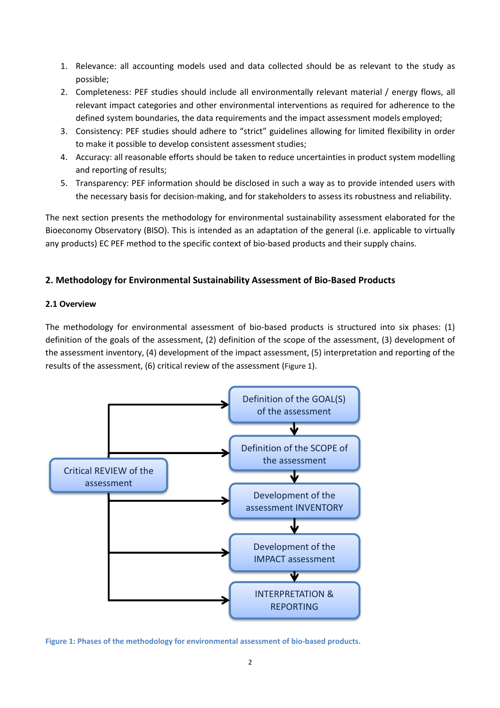- 1. Relevance: all accounting models used and data collected should be as relevant to the study as possible;
- 2. Completeness: PEF studies should include all environmentally relevant material / energy flows, all relevant impact categories and other environmental interventions as required for adherence to the defined system boundaries, the data requirements and the impact assessment models employed;
- 3. Consistency: PEF studies should adhere to "strict" guidelines allowing for limited flexibility in order to make it possible to develop consistent assessment studies;
- 4. Accuracy: all reasonable efforts should be taken to reduce uncertainties in product system modelling and reporting of results;
- 5. Transparency: PEF information should be disclosed in such a way as to provide intended users with the necessary basis for decision-making, and for stakeholders to assess its robustness and reliability.

The next section presents the methodology for environmental sustainability assessment elaborated for the Bioeconomy Observatory (BISO). This is intended as an adaptation of the general (i.e. applicable to virtually any products) EC PEF method to the specific context of bio-based products and their supply chains.

## **2. Methodology for Environmental Sustainability Assessment of Bio-Based Products**

## **2.1 Overview**

The methodology for environmental assessment of bio-based products is structured into six phases: (1) definition of the goals of the assessment, (2) definition of the scope of the assessment, (3) development of the assessment inventory, (4) development of the impact assessment, (5) interpretation and reporting of the results of the assessment, (6) critical review of the assessment (Figure 1).



**Figure 1: Phases of the methodology for environmental assessment of bio-based products.**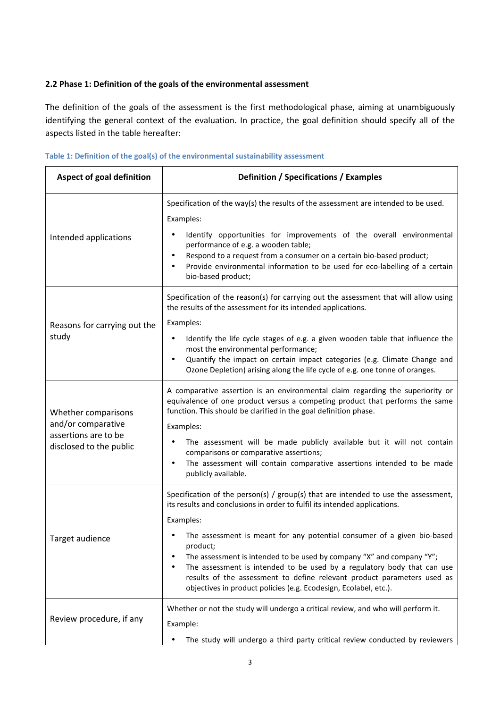## **2.2 Phase 1: Definition of the goals of the environmental assessment**

The definition of the goals of the assessment is the first methodological phase, aiming at unambiguously identifying the general context of the evaluation. In practice, the goal definition should specify all of the aspects listed in the table hereafter:

|  |  |  | Table 1: Definition of the goal(s) of the environmental sustainability assessment |  |
|--|--|--|-----------------------------------------------------------------------------------|--|
|--|--|--|-----------------------------------------------------------------------------------|--|

| Aspect of goal definition                                                                    | Definition / Specifications / Examples                                                                                                                                                                                                                                                                                                                                                                                        |  |  |  |
|----------------------------------------------------------------------------------------------|-------------------------------------------------------------------------------------------------------------------------------------------------------------------------------------------------------------------------------------------------------------------------------------------------------------------------------------------------------------------------------------------------------------------------------|--|--|--|
|                                                                                              | Specification of the way(s) the results of the assessment are intended to be used.                                                                                                                                                                                                                                                                                                                                            |  |  |  |
| Intended applications                                                                        | Examples:<br>Identify opportunities for improvements of the overall environmental<br>performance of e.g. a wooden table;<br>Respond to a request from a consumer on a certain bio-based product;<br>$\bullet$<br>Provide environmental information to be used for eco-labelling of a certain<br>$\bullet$<br>bio-based product;                                                                                               |  |  |  |
|                                                                                              | Specification of the reason(s) for carrying out the assessment that will allow using<br>the results of the assessment for its intended applications.                                                                                                                                                                                                                                                                          |  |  |  |
| Reasons for carrying out the<br>study                                                        | Examples:<br>Identify the life cycle stages of e.g. a given wooden table that influence the<br>most the environmental performance;<br>Quantify the impact on certain impact categories (e.g. Climate Change and<br>$\bullet$<br>Ozone Depletion) arising along the life cycle of e.g. one tonne of oranges.                                                                                                                   |  |  |  |
| Whether comparisons<br>and/or comparative<br>assertions are to be<br>disclosed to the public | A comparative assertion is an environmental claim regarding the superiority or<br>equivalence of one product versus a competing product that performs the same<br>function. This should be clarified in the goal definition phase.<br>Examples:                                                                                                                                                                               |  |  |  |
|                                                                                              | The assessment will be made publicly available but it will not contain<br>٠<br>comparisons or comparative assertions;<br>The assessment will contain comparative assertions intended to be made<br>$\bullet$<br>publicly available.                                                                                                                                                                                           |  |  |  |
|                                                                                              | Specification of the person(s) / $group(s)$ that are intended to use the assessment,<br>its results and conclusions in order to fulfil its intended applications.                                                                                                                                                                                                                                                             |  |  |  |
| Target audience                                                                              | Examples:<br>The assessment is meant for any potential consumer of a given bio-based<br>product;<br>The assessment is intended to be used by company "X" and company "Y";<br>$\bullet$<br>The assessment is intended to be used by a regulatory body that can use<br>$\bullet$<br>results of the assessment to define relevant product parameters used as<br>objectives in product policies (e.g. Ecodesign, Ecolabel, etc.). |  |  |  |
| Review procedure, if any                                                                     | Whether or not the study will undergo a critical review, and who will perform it.<br>Example:<br>The study will undergo a third party critical review conducted by reviewers<br>$\bullet$                                                                                                                                                                                                                                     |  |  |  |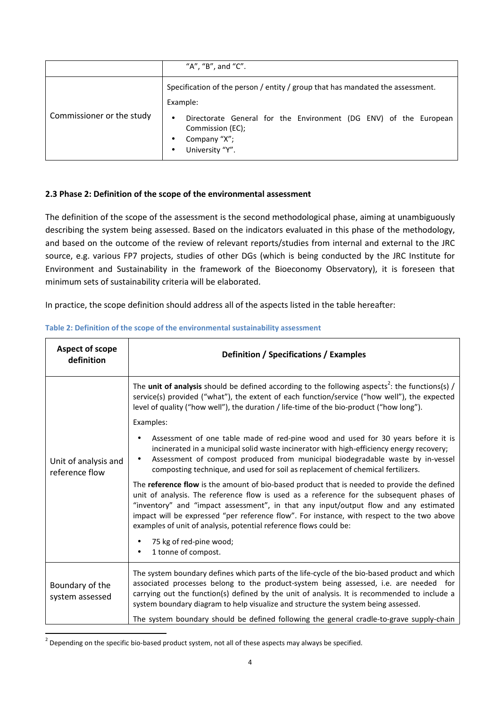|                           | "A", "B", and "C".                                                                                                      |  |  |
|---------------------------|-------------------------------------------------------------------------------------------------------------------------|--|--|
|                           | Specification of the person / entity / group that has mandated the assessment.<br>Example:                              |  |  |
| Commissioner or the study | Directorate General for the Environment (DG ENV) of the European<br>Commission (EC);<br>Company "X";<br>University "Y". |  |  |

## **2.3 Phase 2: Definition of the scope of the environmental assessment**

The definition of the scope of the assessment is the second methodological phase, aiming at unambiguously describing the system being assessed. Based on the indicators evaluated in this phase of the methodology, and based on the outcome of the review of relevant reports/studies from internal and external to the JRC source, e.g. various FP7 projects, studies of other DGs (which is being conducted by the JRC Institute for Environment and Sustainability in the framework of the Bioeconomy Observatory), it is foreseen that minimum sets of sustainability criteria will be elaborated.

In practice, the scope definition should address all of the aspects listed in the table hereafter:

| Aspect of scope<br>definition          | Definition / Specifications / Examples                                                                                                                                                                                                                                                                                                                                                                                                             |
|----------------------------------------|----------------------------------------------------------------------------------------------------------------------------------------------------------------------------------------------------------------------------------------------------------------------------------------------------------------------------------------------------------------------------------------------------------------------------------------------------|
|                                        | The unit of analysis should be defined according to the following aspects <sup>2</sup> : the functions(s) /<br>service(s) provided ("what"), the extent of each function/service ("how well"), the expected<br>level of quality ("how well"), the duration / life-time of the bio-product ("how long").                                                                                                                                            |
|                                        | Examples:                                                                                                                                                                                                                                                                                                                                                                                                                                          |
| Unit of analysis and<br>reference flow | Assessment of one table made of red-pine wood and used for 30 years before it is<br>incinerated in a municipal solid waste incinerator with high-efficiency energy recovery;<br>Assessment of compost produced from municipal biodegradable waste by in-vessel<br>composting technique, and used for soil as replacement of chemical fertilizers.                                                                                                  |
|                                        | The reference flow is the amount of bio-based product that is needed to provide the defined<br>unit of analysis. The reference flow is used as a reference for the subsequent phases of<br>"inventory" and "impact assessment", in that any input/output flow and any estimated<br>impact will be expressed "per reference flow". For instance, with respect to the two above<br>examples of unit of analysis, potential reference flows could be: |
|                                        | 75 kg of red-pine wood;<br>1 tonne of compost.                                                                                                                                                                                                                                                                                                                                                                                                     |
| Boundary of the<br>system assessed     | The system boundary defines which parts of the life-cycle of the bio-based product and which<br>associated processes belong to the product-system being assessed, i.e. are needed for<br>carrying out the function(s) defined by the unit of analysis. It is recommended to include a<br>system boundary diagram to help visualize and structure the system being assessed.                                                                        |
|                                        | The system boundary should be defined following the general cradle-to-grave supply-chain                                                                                                                                                                                                                                                                                                                                                           |

#### **Table 2: Definition of the scope of the environmental sustainability assessment**

 $\overline{\phantom{0}}$ 

 $^2$  Depending on the specific bio-based product system, not all of these aspects may always be specified.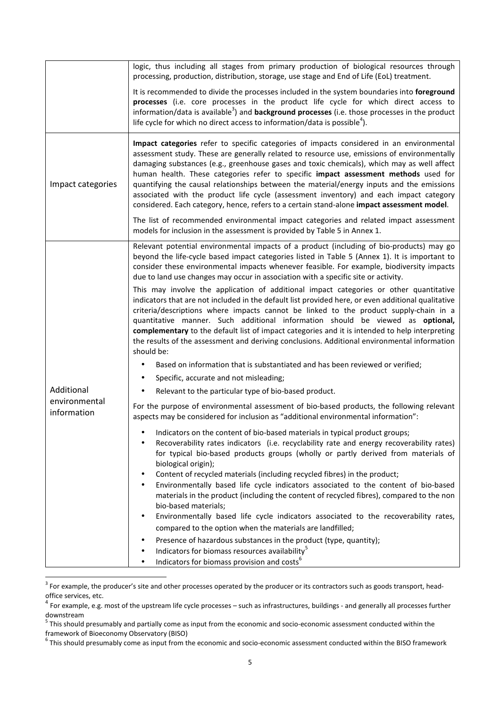|                              | logic, thus including all stages from primary production of biological resources through<br>processing, production, distribution, storage, use stage and End of Life (EoL) treatment.                                                                                                                                                                                                                                                                                                                                                                                                                                                                                                                                                                                                                                                                                                                                                                                                                                                                                 |
|------------------------------|-----------------------------------------------------------------------------------------------------------------------------------------------------------------------------------------------------------------------------------------------------------------------------------------------------------------------------------------------------------------------------------------------------------------------------------------------------------------------------------------------------------------------------------------------------------------------------------------------------------------------------------------------------------------------------------------------------------------------------------------------------------------------------------------------------------------------------------------------------------------------------------------------------------------------------------------------------------------------------------------------------------------------------------------------------------------------|
|                              | It is recommended to divide the processes included in the system boundaries into foreground<br>processes (i.e. core processes in the product life cycle for which direct access to<br>information/data is available <sup>3</sup> ) and <b>background processes</b> (i.e. those processes in the product<br>life cycle for which no direct access to information/data is possible <sup>4</sup> ).                                                                                                                                                                                                                                                                                                                                                                                                                                                                                                                                                                                                                                                                      |
| Impact categories            | Impact categories refer to specific categories of impacts considered in an environmental<br>assessment study. These are generally related to resource use, emissions of environmentally<br>damaging substances (e.g., greenhouse gases and toxic chemicals), which may as well affect<br>human health. These categories refer to specific impact assessment methods used for<br>quantifying the causal relationships between the material/energy inputs and the emissions<br>associated with the product life cycle (assessment inventory) and each impact category<br>considered. Each category, hence, refers to a certain stand-alone impact assessment model.                                                                                                                                                                                                                                                                                                                                                                                                     |
|                              | The list of recommended environmental impact categories and related impact assessment<br>models for inclusion in the assessment is provided by Table 5 in Annex 1.                                                                                                                                                                                                                                                                                                                                                                                                                                                                                                                                                                                                                                                                                                                                                                                                                                                                                                    |
|                              | Relevant potential environmental impacts of a product (including of bio-products) may go<br>beyond the life-cycle based impact categories listed in Table 5 (Annex 1). It is important to<br>consider these environmental impacts whenever feasible. For example, biodiversity impacts<br>due to land use changes may occur in association with a specific site or activity.<br>This may involve the application of additional impact categories or other quantitative<br>indicators that are not included in the default list provided here, or even additional qualitative<br>criteria/descriptions where impacts cannot be linked to the product supply-chain in a<br>quantitative manner. Such additional information should be viewed as optional,<br>complementary to the default list of impact categories and it is intended to help interpreting<br>the results of the assessment and deriving conclusions. Additional environmental information<br>should be:<br>Based on information that is substantiated and has been reviewed or verified;<br>$\bullet$ |
|                              | Specific, accurate and not misleading;<br>٠                                                                                                                                                                                                                                                                                                                                                                                                                                                                                                                                                                                                                                                                                                                                                                                                                                                                                                                                                                                                                           |
| Additional                   | Relevant to the particular type of bio-based product.                                                                                                                                                                                                                                                                                                                                                                                                                                                                                                                                                                                                                                                                                                                                                                                                                                                                                                                                                                                                                 |
| environmental<br>information | For the purpose of environmental assessment of bio-based products, the following relevant<br>aspects may be considered for inclusion as "additional environmental information":                                                                                                                                                                                                                                                                                                                                                                                                                                                                                                                                                                                                                                                                                                                                                                                                                                                                                       |
|                              | Indicators on the content of bio-based materials in typical product groups;<br>Recoverability rates indicators (i.e. recyclability rate and energy recoverability rates)<br>٠<br>for typical bio-based products groups (wholly or partly derived from materials of<br>biological origin);                                                                                                                                                                                                                                                                                                                                                                                                                                                                                                                                                                                                                                                                                                                                                                             |
|                              | Content of recycled materials (including recycled fibres) in the product;<br>Environmentally based life cycle indicators associated to the content of bio-based<br>$\bullet$<br>materials in the product (including the content of recycled fibres), compared to the non<br>bio-based materials;                                                                                                                                                                                                                                                                                                                                                                                                                                                                                                                                                                                                                                                                                                                                                                      |
|                              | Environmentally based life cycle indicators associated to the recoverability rates,<br>$\bullet$<br>compared to the option when the materials are landfilled;                                                                                                                                                                                                                                                                                                                                                                                                                                                                                                                                                                                                                                                                                                                                                                                                                                                                                                         |
|                              | Presence of hazardous substances in the product (type, quantity);                                                                                                                                                                                                                                                                                                                                                                                                                                                                                                                                                                                                                                                                                                                                                                                                                                                                                                                                                                                                     |
|                              | Indicators for biomass resources availability <sup>5</sup><br>Indicators for biomass provision and costs <sup>6</sup>                                                                                                                                                                                                                                                                                                                                                                                                                                                                                                                                                                                                                                                                                                                                                                                                                                                                                                                                                 |

 $3$  For example, the producer's site and other processes operated by the producer or its contractors such as goods transport, headoffice services, etc.

 $\overline{\phantom{0}}$ 

 $^4$  For example, e.g. most of the upstream life cycle processes – such as infrastructures, buildings - and generally all processes further downstream

<sup>&</sup>lt;sup>5</sup> This should presumably and partially come as input from the economic and socio-economic assessment conducted within the framework of Bioeconomy Observatory (BISO)

 $^6$  This should presumably come as input from the economic and socio-economic assessment conducted within the BISO framework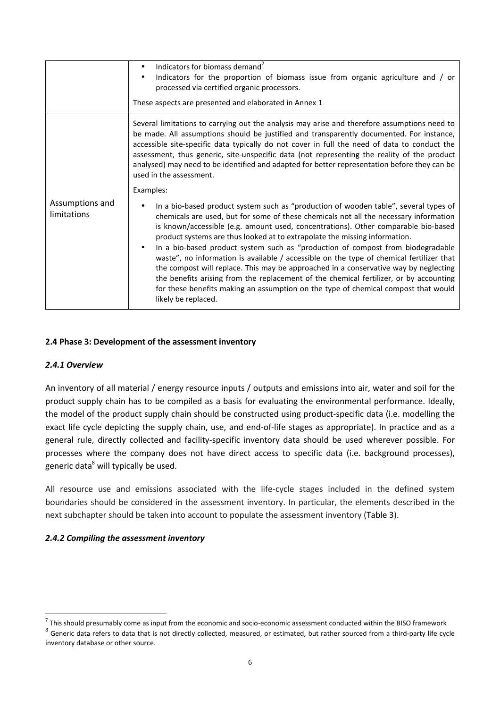|                                | Indicators for biomass demand <sup>7</sup><br>$\bullet$<br>Indicators for the proportion of biomass issue from organic agriculture and / or<br>$\bullet$<br>processed via certified organic processors.<br>These aspects are presented and elaborated in Annex 1                                                                                                                                                                                                                                                                                                                                                                                   |  |
|--------------------------------|----------------------------------------------------------------------------------------------------------------------------------------------------------------------------------------------------------------------------------------------------------------------------------------------------------------------------------------------------------------------------------------------------------------------------------------------------------------------------------------------------------------------------------------------------------------------------------------------------------------------------------------------------|--|
|                                | Several limitations to carrying out the analysis may arise and therefore assumptions need to<br>be made. All assumptions should be justified and transparently documented. For instance,<br>accessible site-specific data typically do not cover in full the need of data to conduct the<br>assessment, thus generic, site-unspecific data (not representing the reality of the product<br>analysed) may need to be identified and adapted for better representation before they can be<br>used in the assessment.                                                                                                                                 |  |
| Assumptions and<br>limitations | Examples:<br>In a bio-based product system such as "production of wooden table", several types of<br>chemicals are used, but for some of these chemicals not all the necessary information<br>is known/accessible (e.g. amount used, concentrations). Other comparable bio-based<br>product systems are thus looked at to extrapolate the missing information.<br>In a bio-based product system such as "production of compost from biodegradable<br>$\bullet$<br>waste", no information is available / accessible on the type of chemical fertilizer that<br>the compost will replace. This may be approached in a conservative way by neglecting |  |
|                                | the benefits arising from the replacement of the chemical fertilizer, or by accounting<br>for these benefits making an assumption on the type of chemical compost that would<br>likely be replaced.                                                                                                                                                                                                                                                                                                                                                                                                                                                |  |

#### **2.4 Phase 3: Development of the assessment inventory**

#### *2.4.1 Overview*

l

An inventory of all material / energy resource inputs / outputs and emissions into air, water and soil for the product supply chain has to be compiled as a basis for evaluating the environmental performance. Ideally, the model of the product supply chain should be constructed using product-specific data (i.e. modelling the exact life cycle depicting the supply chain, use, and end-of-life stages as appropriate). In practice and as a general rule, directly collected and facility-specific inventory data should be used wherever possible. For processes where the company does not have direct access to specific data (i.e. background processes), generic data<sup>8</sup> will typically be used.

All resource use and emissions associated with the life-cycle stages included in the defined system boundaries should be considered in the assessment inventory. In particular, the elements described in the next subchapter should be taken into account to populate the assessment inventory (Table 3).

#### *2.4.2 Compiling the assessment inventory*

 $^7$  This should presumably come as input from the economic and socio-economic assessment conducted within the BISO framework

 $^8$  Generic data refers to data that is not directly collected, measured, or estimated, but rather sourced from a third-party life cycle inventory database or other source.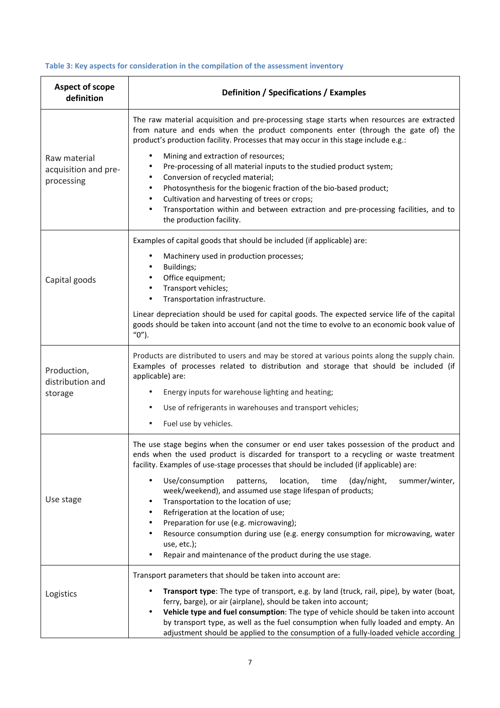## **Table 3: Key aspects for consideration in the compilation of the assessment inventory**

| <b>Aspect of scope</b><br>definition               | Definition / Specifications / Examples                                                                                                                                                                                                                                                                                                                                                                                                                                                                          |  |  |
|----------------------------------------------------|-----------------------------------------------------------------------------------------------------------------------------------------------------------------------------------------------------------------------------------------------------------------------------------------------------------------------------------------------------------------------------------------------------------------------------------------------------------------------------------------------------------------|--|--|
|                                                    | The raw material acquisition and pre-processing stage starts when resources are extracted<br>from nature and ends when the product components enter (through the gate of) the<br>product's production facility. Processes that may occur in this stage include e.g.:                                                                                                                                                                                                                                            |  |  |
| Raw material<br>acquisition and pre-<br>processing | Mining and extraction of resources;<br>Pre-processing of all material inputs to the studied product system;<br>Conversion of recycled material;<br>$\bullet$<br>Photosynthesis for the biogenic fraction of the bio-based product;<br>٠<br>Cultivation and harvesting of trees or crops;<br>٠<br>Transportation within and between extraction and pre-processing facilities, and to<br>the production facility.                                                                                                 |  |  |
| Capital goods                                      | Examples of capital goods that should be included (if applicable) are:<br>Machinery used in production processes;<br>Buildings;<br>Office equipment;<br>Transport vehicles;<br>Transportation infrastructure.                                                                                                                                                                                                                                                                                                   |  |  |
|                                                    | Linear depreciation should be used for capital goods. The expected service life of the capital<br>goods should be taken into account (and not the time to evolve to an economic book value of<br>$"0"$ ).                                                                                                                                                                                                                                                                                                       |  |  |
| Production,<br>distribution and<br>storage         | Products are distributed to users and may be stored at various points along the supply chain.<br>Examples of processes related to distribution and storage that should be included (if<br>applicable) are:<br>Energy inputs for warehouse lighting and heating;<br>Use of refrigerants in warehouses and transport vehicles;<br>$\bullet$                                                                                                                                                                       |  |  |
| Use stage                                          | Fuel use by vehicles.<br>The use stage begins when the consumer or end user takes possession of the product and<br>ends when the used product is discarded for transport to a recycling or waste treatment<br>facility. Examples of use-stage processes that should be included (if applicable) are:<br>Use/consumption<br>patterns,<br>location,<br>time<br>(day/night,<br>summer/winter,<br>$\bullet$<br>week/weekend), and assumed use stage lifespan of products;<br>Transportation to the location of use; |  |  |
|                                                    | Refrigeration at the location of use;<br>Preparation for use (e.g. microwaving);<br>Resource consumption during use (e.g. energy consumption for microwaving, water<br>use, etc.);<br>Repair and maintenance of the product during the use stage.                                                                                                                                                                                                                                                               |  |  |
| Logistics                                          | Transport parameters that should be taken into account are:<br>Transport type: The type of transport, e.g. by land (truck, rail, pipe), by water (boat,<br>ferry, barge), or air (airplane), should be taken into account;<br>Vehicle type and fuel consumption: The type of vehicle should be taken into account<br>$\bullet$<br>by transport type, as well as the fuel consumption when fully loaded and empty. An<br>adjustment should be applied to the consumption of a fully-loaded vehicle according     |  |  |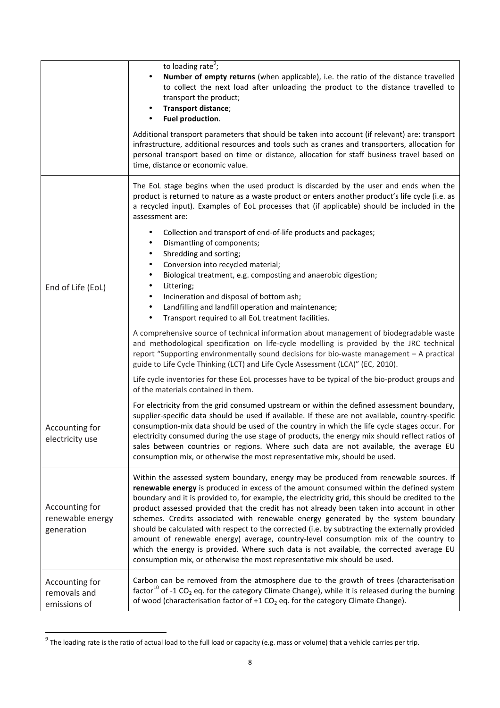|                                                  | to loading rate <sup>9</sup> ;<br>Number of empty returns (when applicable), i.e. the ratio of the distance travelled<br>to collect the next load after unloading the product to the distance travelled to<br>transport the product;<br>Transport distance;<br>Fuel production.<br>$\bullet$<br>Additional transport parameters that should be taken into account (if relevant) are: transport<br>infrastructure, additional resources and tools such as cranes and transporters, allocation for<br>personal transport based on time or distance, allocation for staff business travel based on<br>time, distance or economic value.                                                                                                                                                                                                           |
|--------------------------------------------------|------------------------------------------------------------------------------------------------------------------------------------------------------------------------------------------------------------------------------------------------------------------------------------------------------------------------------------------------------------------------------------------------------------------------------------------------------------------------------------------------------------------------------------------------------------------------------------------------------------------------------------------------------------------------------------------------------------------------------------------------------------------------------------------------------------------------------------------------|
|                                                  | The EoL stage begins when the used product is discarded by the user and ends when the<br>product is returned to nature as a waste product or enters another product's life cycle (i.e. as<br>a recycled input). Examples of EoL processes that (if applicable) should be included in the<br>assessment are:                                                                                                                                                                                                                                                                                                                                                                                                                                                                                                                                    |
| End of Life (EoL)                                | Collection and transport of end-of-life products and packages;<br>٠<br>Dismantling of components;<br>٠<br>Shredding and sorting;<br>Conversion into recycled material;<br>Biological treatment, e.g. composting and anaerobic digestion;<br>Littering;<br>Incineration and disposal of bottom ash;<br>Landfilling and landfill operation and maintenance;<br>Transport required to all EoL treatment facilities.                                                                                                                                                                                                                                                                                                                                                                                                                               |
|                                                  | A comprehensive source of technical information about management of biodegradable waste<br>and methodological specification on life-cycle modelling is provided by the JRC technical<br>report "Supporting environmentally sound decisions for bio-waste management - A practical<br>guide to Life Cycle Thinking (LCT) and Life Cycle Assessment (LCA)" (EC, 2010).<br>Life cycle inventories for these EoL processes have to be typical of the bio-product groups and<br>of the materials contained in them.                                                                                                                                                                                                                                                                                                                                 |
| Accounting for<br>electricity use                | For electricity from the grid consumed upstream or within the defined assessment boundary,<br>supplier-specific data should be used if available. If these are not available, country-specific<br>consumption-mix data should be used of the country in which the life cycle stages occur. For<br>electricity consumed during the use stage of products, the energy mix should reflect ratios of<br>sales between countries or regions. Where such data are not available, the average EU<br>consumption mix, or otherwise the most representative mix, should be used.                                                                                                                                                                                                                                                                        |
| Accounting for<br>renewable energy<br>generation | Within the assessed system boundary, energy may be produced from renewable sources. If<br>renewable energy is produced in excess of the amount consumed within the defined system<br>boundary and it is provided to, for example, the electricity grid, this should be credited to the<br>product assessed provided that the credit has not already been taken into account in other<br>schemes. Credits associated with renewable energy generated by the system boundary<br>should be calculated with respect to the corrected (i.e. by subtracting the externally provided<br>amount of renewable energy) average, country-level consumption mix of the country to<br>which the energy is provided. Where such data is not available, the corrected average EU<br>consumption mix, or otherwise the most representative mix should be used. |
| Accounting for<br>removals and<br>emissions of   | Carbon can be removed from the atmosphere due to the growth of trees (characterisation<br>factor <sup>10</sup> of -1 CO <sub>2</sub> eq. for the category Climate Change), while it is released during the burning<br>of wood (characterisation factor of $+1$ CO <sub>2</sub> eq. for the category Climate Change).                                                                                                                                                                                                                                                                                                                                                                                                                                                                                                                           |

get of the loading rate is the ratio of actual load to the full load or capacity (e.g. mass or volume) that a vehicle carries per trip.<br><sup>9</sup> The loading rate is the ratio of actual load to the full load or capacity (e.g. ma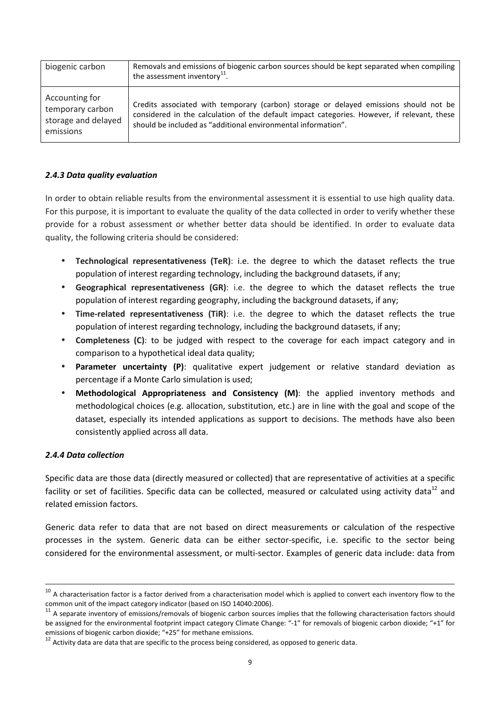| biogenic carbon                                                        | Removals and emissions of biogenic carbon sources should be kept separated when compiling<br>the assessment inventory $^{11}$ .                                                                                                                       |
|------------------------------------------------------------------------|-------------------------------------------------------------------------------------------------------------------------------------------------------------------------------------------------------------------------------------------------------|
| Accounting for<br>temporary carbon<br>storage and delayed<br>emissions | Credits associated with temporary (carbon) storage or delayed emissions should not be<br>considered in the calculation of the default impact categories. However, if relevant, these<br>should be included as "additional environmental information". |

## *2.4.3 Data quality evaluation*

In order to obtain reliable results from the environmental assessment it is essential to use high quality data. For this purpose, it is important to evaluate the quality of the data collected in order to verify whether these provide for a robust assessment or whether better data should be identified. In order to evaluate data quality, the following criteria should be considered:

- **Technological representativeness (TeR)**: i.e. the degree to which the dataset reflects the true population of interest regarding technology, including the background datasets, if any;
- **Geographical representativeness (GR)**: i.e. the degree to which the dataset reflects the true population of interest regarding geography, including the background datasets, if any;
- **Time-related representativeness (TiR)**: i.e. the degree to which the dataset reflects the true population of interest regarding technology, including the background datasets, if any;
- **Completeness (C)**: to be judged with respect to the coverage for each impact category and in comparison to a hypothetical ideal data quality;
- **Parameter uncertainty (P)**: qualitative expert judgement or relative standard deviation as percentage if a Monte Carlo simulation is used;
- **Methodological Appropriateness and Consistency (M)**: the applied inventory methods and methodological choices (e.g. allocation, substitution, etc.) are in line with the goal and scope of the dataset, especially its intended applications as support to decisions. The methods have also been consistently applied across all data.

#### *2.4.4 Data collection*

 $\overline{a}$ 

Specific data are those data (directly measured or collected) that are representative of activities at a specific facility or set of facilities. Specific data can be collected, measured or calculated using activity data<sup>12</sup> and related emission factors.

Generic data refer to data that are not based on direct measurements or calculation of the respective processes in the system. Generic data can be either sector-specific, i.e. specific to the sector being considered for the environmental assessment, or multi-sector. Examples of generic data include: data from

 $10$  A characterisation factor is a factor derived from a characterisation model which is applied to convert each inventory flow to the common unit of the impact category indicator (based on ISO 14040:2006).

 $11$  A separate inventory of emissions/removals of biogenic carbon sources implies that the following characterisation factors should be assigned for the environmental footprint impact category Climate Change: "-1" for removals of biogenic carbon dioxide; "+1" for emissions of biogenic carbon dioxide; "+25" for methane emissions.

<sup>&</sup>lt;sup>12</sup> Activity data are data that are specific to the process being considered, as opposed to generic data.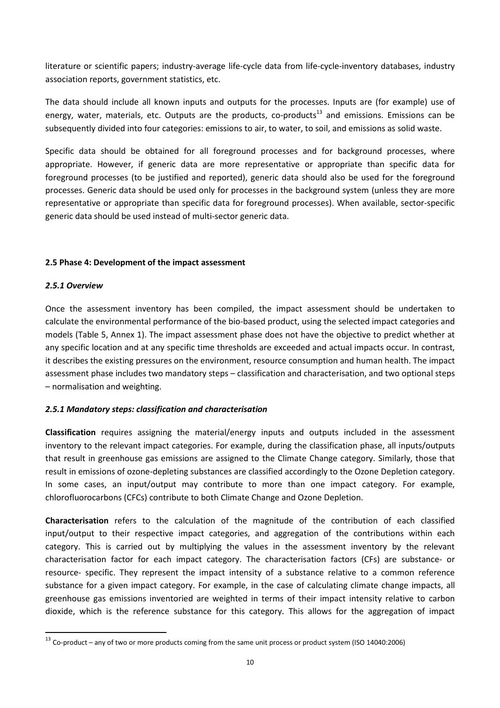literature or scientific papers; industry-average life-cycle data from life-cycle-inventory databases, industry association reports, government statistics, etc.

The data should include all known inputs and outputs for the processes. Inputs are (for example) use of energy, water, materials, etc. Outputs are the products, co-products<sup>13</sup> and emissions. Emissions can be subsequently divided into four categories: emissions to air, to water, to soil, and emissions as solid waste.

Specific data should be obtained for all foreground processes and for background processes, where appropriate. However, if generic data are more representative or appropriate than specific data for foreground processes (to be justified and reported), generic data should also be used for the foreground processes. Generic data should be used only for processes in the background system (unless they are more representative or appropriate than specific data for foreground processes). When available, sector-specific generic data should be used instead of multi-sector generic data.

## **2.5 Phase 4: Development of the impact assessment**

## *2.5.1 Overview*

 $\overline{a}$ 

Once the assessment inventory has been compiled, the impact assessment should be undertaken to calculate the environmental performance of the bio-based product, using the selected impact categories and models (Table 5, Annex 1). The impact assessment phase does not have the objective to predict whether at any specific location and at any specific time thresholds are exceeded and actual impacts occur. In contrast, it describes the existing pressures on the environment, resource consumption and human health. The impact assessment phase includes two mandatory steps – classification and characterisation, and two optional steps – normalisation and weighting.

## *2.5.1 Mandatory steps: classification and characterisation*

**Classification** requires assigning the material/energy inputs and outputs included in the assessment inventory to the relevant impact categories. For example, during the classification phase, all inputs/outputs that result in greenhouse gas emissions are assigned to the Climate Change category. Similarly, those that result in emissions of ozone-depleting substances are classified accordingly to the Ozone Depletion category. In some cases, an input/output may contribute to more than one impact category. For example, chlorofluorocarbons (CFCs) contribute to both Climate Change and Ozone Depletion.

**Characterisation** refers to the calculation of the magnitude of the contribution of each classified input/output to their respective impact categories, and aggregation of the contributions within each category. This is carried out by multiplying the values in the assessment inventory by the relevant characterisation factor for each impact category. The characterisation factors (CFs) are substance- or resource- specific. They represent the impact intensity of a substance relative to a common reference substance for a given impact category. For example, in the case of calculating climate change impacts, all greenhouse gas emissions inventoried are weighted in terms of their impact intensity relative to carbon dioxide, which is the reference substance for this category. This allows for the aggregation of impact

<sup>13</sup> Co-product – any of two or more products coming from the same unit process or product system (ISO 14040:2006)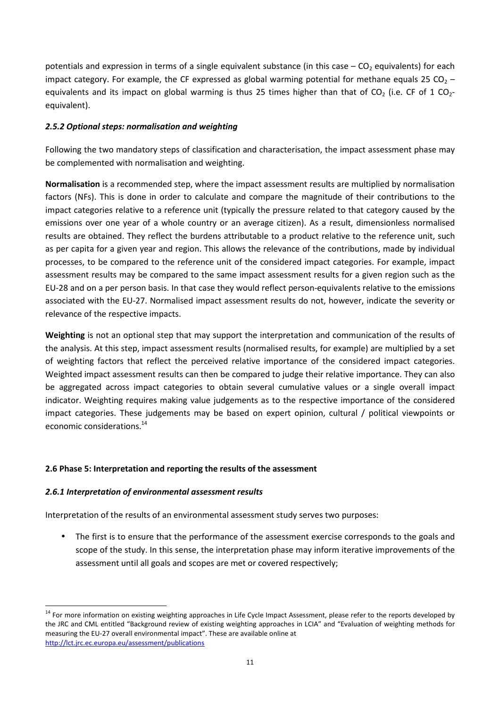potentials and expression in terms of a single equivalent substance (in this case  $-$  CO<sub>2</sub> equivalents) for each impact category. For example, the CF expressed as global warming potential for methane equals 25 CO<sub>2</sub> – equivalents and its impact on global warming is thus 25 times higher than that of  $CO<sub>2</sub>$  (i.e. CF of 1 CO<sub>2</sub>equivalent).

## *2.5.2 Optional steps: normalisation and weighting*

Following the two mandatory steps of classification and characterisation, the impact assessment phase may be complemented with normalisation and weighting.

**Normalisation** is a recommended step, where the impact assessment results are multiplied by normalisation factors (NFs). This is done in order to calculate and compare the magnitude of their contributions to the impact categories relative to a reference unit (typically the pressure related to that category caused by the emissions over one year of a whole country or an average citizen). As a result, dimensionless normalised results are obtained. They reflect the burdens attributable to a product relative to the reference unit, such as per capita for a given year and region. This allows the relevance of the contributions, made by individual processes, to be compared to the reference unit of the considered impact categories. For example, impact assessment results may be compared to the same impact assessment results for a given region such as the EU-28 and on a per person basis. In that case they would reflect person-equivalents relative to the emissions associated with the EU-27. Normalised impact assessment results do not, however, indicate the severity or relevance of the respective impacts.

**Weighting** is not an optional step that may support the interpretation and communication of the results of the analysis. At this step, impact assessment results (normalised results, for example) are multiplied by a set of weighting factors that reflect the perceived relative importance of the considered impact categories. Weighted impact assessment results can then be compared to judge their relative importance. They can also be aggregated across impact categories to obtain several cumulative values or a single overall impact indicator. Weighting requires making value judgements as to the respective importance of the considered impact categories. These judgements may be based on expert opinion, cultural / political viewpoints or economic considerations.<sup>14</sup>

#### **2.6 Phase 5: Interpretation and reporting the results of the assessment**

#### *2.6.1 Interpretation of environmental assessment results*

l

Interpretation of the results of an environmental assessment study serves two purposes:

The first is to ensure that the performance of the assessment exercise corresponds to the goals and scope of the study. In this sense, the interpretation phase may inform iterative improvements of the assessment until all goals and scopes are met or covered respectively;

<sup>&</sup>lt;sup>14</sup> For more information on existing weighting approaches in Life Cycle Impact Assessment, please refer to the reports developed by the JRC and CML entitled "Background review of existing weighting approaches in LCIA" and "Evaluation of weighting methods for measuring the EU-27 overall environmental impact". These are available online at http://lct.jrc.ec.europa.eu/assessment/publications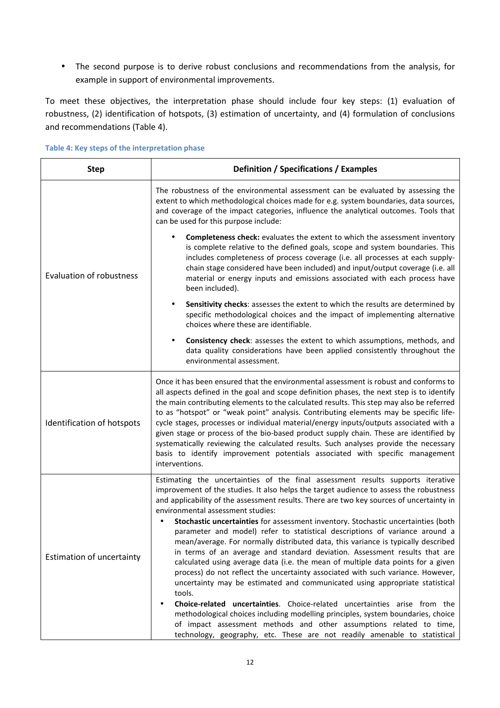• The second purpose is to derive robust conclusions and recommendations from the analysis, for example in support of environmental improvements.

To meet these objectives, the interpretation phase should include four key steps: (1) evaluation of robustness, (2) identification of hotspots, (3) estimation of uncertainty, and (4) formulation of conclusions and recommendations (Table 4).

| <b>Step</b>                      | Definition / Specifications / Examples                                                                                                                                                                                                                                                                                                                                                                                                                                                                                                                                                                                                                                                                                                                                                                                                                                                                                                                                                                                                                                                                                                                                                                                                                     |  |  |
|----------------------------------|------------------------------------------------------------------------------------------------------------------------------------------------------------------------------------------------------------------------------------------------------------------------------------------------------------------------------------------------------------------------------------------------------------------------------------------------------------------------------------------------------------------------------------------------------------------------------------------------------------------------------------------------------------------------------------------------------------------------------------------------------------------------------------------------------------------------------------------------------------------------------------------------------------------------------------------------------------------------------------------------------------------------------------------------------------------------------------------------------------------------------------------------------------------------------------------------------------------------------------------------------------|--|--|
|                                  | The robustness of the environmental assessment can be evaluated by assessing the<br>extent to which methodological choices made for e.g. system boundaries, data sources,<br>and coverage of the impact categories, influence the analytical outcomes. Tools that<br>can be used for this purpose include:                                                                                                                                                                                                                                                                                                                                                                                                                                                                                                                                                                                                                                                                                                                                                                                                                                                                                                                                                 |  |  |
| <b>Evaluation of robustness</b>  | <b>Completeness check:</b> evaluates the extent to which the assessment inventory<br>is complete relative to the defined goals, scope and system boundaries. This<br>includes completeness of process coverage (i.e. all processes at each supply-<br>chain stage considered have been included) and input/output coverage (i.e. all<br>material or energy inputs and emissions associated with each process have<br>been included).                                                                                                                                                                                                                                                                                                                                                                                                                                                                                                                                                                                                                                                                                                                                                                                                                       |  |  |
|                                  | Sensitivity checks: assesses the extent to which the results are determined by<br>specific methodological choices and the impact of implementing alternative<br>choices where these are identifiable.                                                                                                                                                                                                                                                                                                                                                                                                                                                                                                                                                                                                                                                                                                                                                                                                                                                                                                                                                                                                                                                      |  |  |
|                                  | Consistency check: assesses the extent to which assumptions, methods, and<br>$\bullet$<br>data quality considerations have been applied consistently throughout the<br>environmental assessment.                                                                                                                                                                                                                                                                                                                                                                                                                                                                                                                                                                                                                                                                                                                                                                                                                                                                                                                                                                                                                                                           |  |  |
| Identification of hotspots       | Once it has been ensured that the environmental assessment is robust and conforms to<br>all aspects defined in the goal and scope definition phases, the next step is to identify<br>the main contributing elements to the calculated results. This step may also be referred<br>to as "hotspot" or "weak point" analysis. Contributing elements may be specific life-<br>cycle stages, processes or individual material/energy inputs/outputs associated with a<br>given stage or process of the bio-based product supply chain. These are identified by<br>systematically reviewing the calculated results. Such analyses provide the necessary<br>basis to identify improvement potentials associated with specific management<br>interventions.                                                                                                                                                                                                                                                                                                                                                                                                                                                                                                        |  |  |
| <b>Estimation of uncertainty</b> | Estimating the uncertainties of the final assessment results supports iterative<br>improvement of the studies. It also helps the target audience to assess the robustness<br>and applicability of the assessment results. There are two key sources of uncertainty in<br>environmental assessment studies:<br>Stochastic uncertainties for assessment inventory. Stochastic uncertainties (both<br>parameter and model) refer to statistical descriptions of variance around a<br>mean/average. For normally distributed data, this variance is typically described<br>in terms of an average and standard deviation. Assessment results that are<br>calculated using average data (i.e. the mean of multiple data points for a given<br>process) do not reflect the uncertainty associated with such variance. However,<br>uncertainty may be estimated and communicated using appropriate statistical<br>tools.<br><b>Choice-related uncertainties.</b> Choice-related uncertainties arise from the<br>$\bullet$<br>methodological choices including modelling principles, system boundaries, choice<br>of impact assessment methods and other assumptions related to time,<br>technology, geography, etc. These are not readily amenable to statistical |  |  |

#### **Table 4: Key steps of the interpretation phase**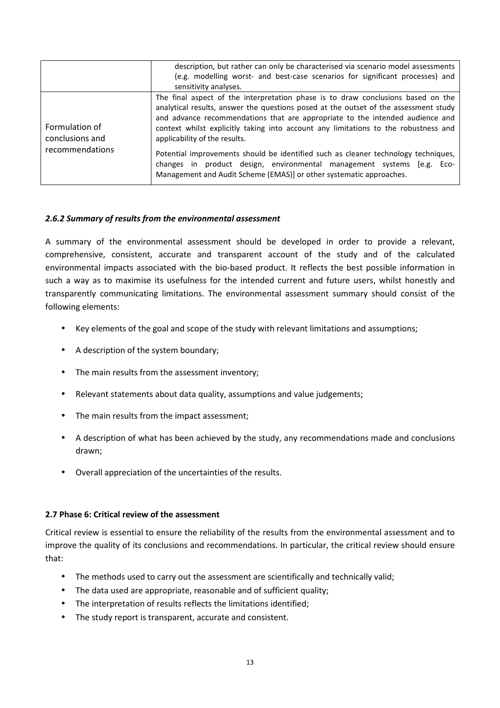|                                                      | description, but rather can only be characterised via scenario model assessments<br>(e.g. modelling worst- and best-case scenarios for significant processes) and<br>sensitivity analyses.                                                                                                                                                                                                                                                                                                                                                                                                                               |
|------------------------------------------------------|--------------------------------------------------------------------------------------------------------------------------------------------------------------------------------------------------------------------------------------------------------------------------------------------------------------------------------------------------------------------------------------------------------------------------------------------------------------------------------------------------------------------------------------------------------------------------------------------------------------------------|
| Formulation of<br>conclusions and<br>recommendations | The final aspect of the interpretation phase is to draw conclusions based on the<br>analytical results, answer the questions posed at the outset of the assessment study<br>and advance recommendations that are appropriate to the intended audience and<br>context whilst explicitly taking into account any limitations to the robustness and<br>applicability of the results.<br>Potential improvements should be identified such as cleaner technology techniques,<br>changes in product design, environmental management systems [e.g. Eco-<br>Management and Audit Scheme (EMAS)] or other systematic approaches. |

## *2.6.2 Summary of results from the environmental assessment*

A summary of the environmental assessment should be developed in order to provide a relevant, comprehensive, consistent, accurate and transparent account of the study and of the calculated environmental impacts associated with the bio-based product. It reflects the best possible information in such a way as to maximise its usefulness for the intended current and future users, whilst honestly and transparently communicating limitations. The environmental assessment summary should consist of the following elements:

- Key elements of the goal and scope of the study with relevant limitations and assumptions;
- A description of the system boundary;
- The main results from the assessment inventory;
- Relevant statements about data quality, assumptions and value judgements;
- The main results from the impact assessment;
- A description of what has been achieved by the study, any recommendations made and conclusions drawn;
- Overall appreciation of the uncertainties of the results.

## **2.7 Phase 6: Critical review of the assessment**

Critical review is essential to ensure the reliability of the results from the environmental assessment and to improve the quality of its conclusions and recommendations. In particular, the critical review should ensure that:

- The methods used to carry out the assessment are scientifically and technically valid;
- The data used are appropriate, reasonable and of sufficient quality;
- The interpretation of results reflects the limitations identified;
- The study report is transparent, accurate and consistent.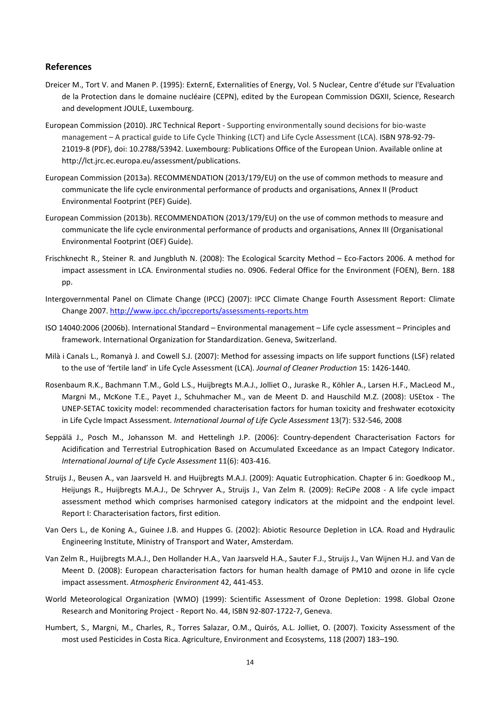#### **References**

- Dreicer M., Tort V. and Manen P. (1995): ExternE, Externalities of Energy, Vol. 5 Nuclear, Centre d'étude sur l'Evaluation de la Protection dans le domaine nucléaire (CEPN), edited by the European Commission DGXII, Science, Research and development JOULE, Luxembourg.
- European Commission (2010). JRC Technical Report Supporting environmentally sound decisions for bio-waste management – A practical guide to Life Cycle Thinking (LCT) and Life Cycle Assessment (LCA). ISBN 978-92-79- 21019-8 (PDF), doi: 10.2788/53942. Luxembourg: Publications Office of the European Union. Available online at http://lct.jrc.ec.europa.eu/assessment/publications.
- European Commission (2013a). RECOMMENDATION (2013/179/EU) on the use of common methods to measure and communicate the life cycle environmental performance of products and organisations, Annex II (Product Environmental Footprint (PEF) Guide).
- European Commission (2013b). RECOMMENDATION (2013/179/EU) on the use of common methods to measure and communicate the life cycle environmental performance of products and organisations, Annex III (Organisational Environmental Footprint (OEF) Guide).
- Frischknecht R., Steiner R. and Jungbluth N. (2008): The Ecological Scarcity Method Eco-Factors 2006. A method for impact assessment in LCA. Environmental studies no. 0906. Federal Office for the Environment (FOEN), Bern. 188 pp.
- Intergovernmental Panel on Climate Change (IPCC) (2007): IPCC Climate Change Fourth Assessment Report: Climate Change 2007. http://www.ipcc.ch/ipccreports/assessments-reports.htm
- ISO 14040:2006 (2006b). International Standard Environmental management Life cycle assessment Principles and framework. International Organization for Standardization. Geneva, Switzerland.
- Milà i Canals L., Romanyà J. and Cowell S.J. (2007): Method for assessing impacts on life support functions (LSF) related to the use of 'fertile land' in Life Cycle Assessment (LCA). *Journal of Cleaner Production* 15: 1426-1440.
- Rosenbaum R.K., Bachmann T.M., Gold L.S., Huijbregts M.A.J., Jolliet O., Juraske R., Köhler A., Larsen H.F., MacLeod M., Margni M., McKone T.E., Payet J., Schuhmacher M., van de Meent D. and Hauschild M.Z. (2008): USEtox - The UNEP-SETAC toxicity model: recommended characterisation factors for human toxicity and freshwater ecotoxicity in Life Cycle Impact Assessment. *International Journal of Life Cycle Assessment* 13(7): 532-546, 2008
- Seppälä J., Posch M., Johansson M. and Hettelingh J.P. (2006): Country-dependent Characterisation Factors for Acidification and Terrestrial Eutrophication Based on Accumulated Exceedance as an Impact Category Indicator. *International Journal of Life Cycle Assessment* 11(6): 403-416.
- Struijs J., Beusen A., van Jaarsveld H. and Huijbregts M.A.J. (2009): Aquatic Eutrophication. Chapter 6 in: Goedkoop M., Heijungs R., Huijbregts M.A.J., De Schryver A., Struijs J., Van Zelm R. (2009): ReCiPe 2008 - A life cycle impact assessment method which comprises harmonised category indicators at the midpoint and the endpoint level. Report I: Characterisation factors, first edition.
- Van Oers L., de Koning A., Guinee J.B. and Huppes G. (2002): Abiotic Resource Depletion in LCA. Road and Hydraulic Engineering Institute, Ministry of Transport and Water, Amsterdam.
- Van Zelm R., Huijbregts M.A.J., Den Hollander H.A., Van Jaarsveld H.A., Sauter F.J., Struijs J., Van Wijnen H.J. and Van de Meent D. (2008): European characterisation factors for human health damage of PM10 and ozone in life cycle impact assessment. *Atmospheric Environment* 42, 441-453.
- World Meteorological Organization (WMO) (1999): Scientific Assessment of Ozone Depletion: 1998. Global Ozone Research and Monitoring Project - Report No. 44, ISBN 92-807-1722-7, Geneva.
- Humbert, S., Margni, M., Charles, R., Torres Salazar, O.M., Quirós, A.L. Jolliet, O. (2007). Toxicity Assessment of the most used Pesticides in Costa Rica. Agriculture, Environment and Ecosystems, 118 (2007) 183–190.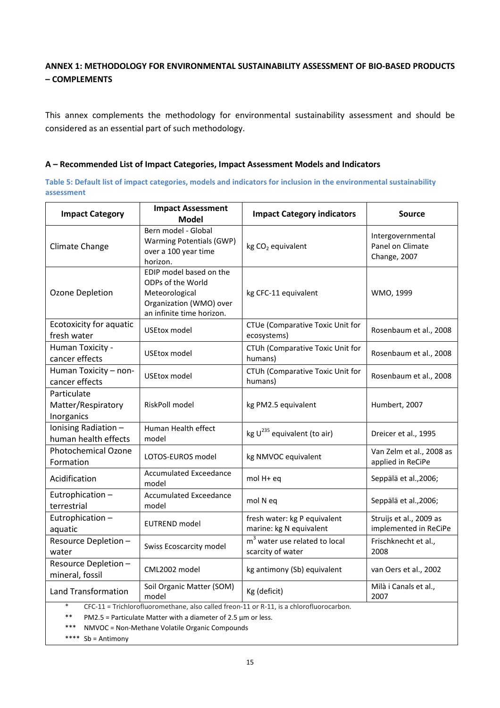## **ANNEX 1: METHODOLOGY FOR ENVIRONMENTAL SUSTAINABILITY ASSESSMENT OF BIO-BASED PRODUCTS – COMPLEMENTS**

This annex complements the methodology for environmental sustainability assessment and should be considered as an essential part of such methodology.

#### **A – Recommended List of Impact Categories, Impact Assessment Models and Indicators**

**Table 5: Default list of impact categories, models and indicators for inclusion in the environmental sustainability assessment**

| <b>Impact Category</b>                                                                                                                                                                                                                 | <b>Impact Assessment</b><br>Model                                                                                      | <b>Impact Category indicators</b>                       | <b>Source</b>                                         |
|----------------------------------------------------------------------------------------------------------------------------------------------------------------------------------------------------------------------------------------|------------------------------------------------------------------------------------------------------------------------|---------------------------------------------------------|-------------------------------------------------------|
| Climate Change                                                                                                                                                                                                                         | Bern model - Global<br>Warming Potentials (GWP)<br>over a 100 year time<br>horizon.                                    | kg CO <sub>2</sub> equivalent                           | Intergovernmental<br>Panel on Climate<br>Change, 2007 |
| Ozone Depletion                                                                                                                                                                                                                        | EDIP model based on the<br>ODPs of the World<br>Meteorological<br>Organization (WMO) over<br>an infinite time horizon. | kg CFC-11 equivalent                                    | WMO, 1999                                             |
| Ecotoxicity for aquatic<br>fresh water                                                                                                                                                                                                 | <b>USEtox model</b>                                                                                                    | CTUe (Comparative Toxic Unit for<br>ecosystems)         | Rosenbaum et al., 2008                                |
| Human Toxicity -<br>cancer effects                                                                                                                                                                                                     | <b>USEtox model</b>                                                                                                    | CTUh (Comparative Toxic Unit for<br>humans)             | Rosenbaum et al., 2008                                |
| Human Toxicity - non-<br>cancer effects                                                                                                                                                                                                | <b>USEtox model</b>                                                                                                    | CTUh (Comparative Toxic Unit for<br>humans)             | Rosenbaum et al., 2008                                |
| Particulate<br>Matter/Respiratory<br>Inorganics                                                                                                                                                                                        | RiskPoll model                                                                                                         | kg PM2.5 equivalent                                     | Humbert, 2007                                         |
| Ionising Radiation -<br>human health effects                                                                                                                                                                                           | Human Health effect<br>model                                                                                           | kg $U^{235}$ equivalent (to air)                        | Dreicer et al., 1995                                  |
| <b>Photochemical Ozone</b><br>Formation                                                                                                                                                                                                | LOTOS-EUROS model                                                                                                      | kg NMVOC equivalent                                     | Van Zelm et al., 2008 as<br>applied in ReCiPe         |
| Acidification                                                                                                                                                                                                                          | <b>Accumulated Exceedance</b><br>model                                                                                 | mol H+ eq                                               | Seppälä et al., 2006;                                 |
| Eutrophication-<br>terrestrial                                                                                                                                                                                                         | <b>Accumulated Exceedance</b><br>model                                                                                 | mol N eq                                                | Seppälä et al., 2006;                                 |
| Eutrophication-<br>aquatic                                                                                                                                                                                                             | <b>EUTREND</b> model                                                                                                   | fresh water: kg P equivalent<br>marine: kg N equivalent | Struijs et al., 2009 as<br>implemented in ReCiPe      |
| Resource Depletion -<br>water                                                                                                                                                                                                          | Swiss Ecoscarcity model                                                                                                | $m3$ water use related to local<br>scarcity of water    | Frischknecht et al.,<br>2008                          |
| Resource Depletion -<br>mineral, fossil                                                                                                                                                                                                | CML2002 model                                                                                                          | kg antimony (Sb) equivalent                             | van Oers et al., 2002                                 |
| <b>Land Transformation</b>                                                                                                                                                                                                             | Soil Organic Matter (SOM)<br>model                                                                                     | Kg (deficit)                                            | Milà i Canals et al.,<br>2007                         |
| $\ast$<br>CFC-11 = Trichlorofluoromethane, also called freon-11 or R-11, is a chlorofluorocarbon.<br>**<br>PM2.5 = Particulate Matter with a diameter of 2.5 $\mu$ m or less.<br>***<br>NMVOC = Non-Methane Volatile Organic Compounds |                                                                                                                        |                                                         |                                                       |

\*\*\*\* Sb = Antimony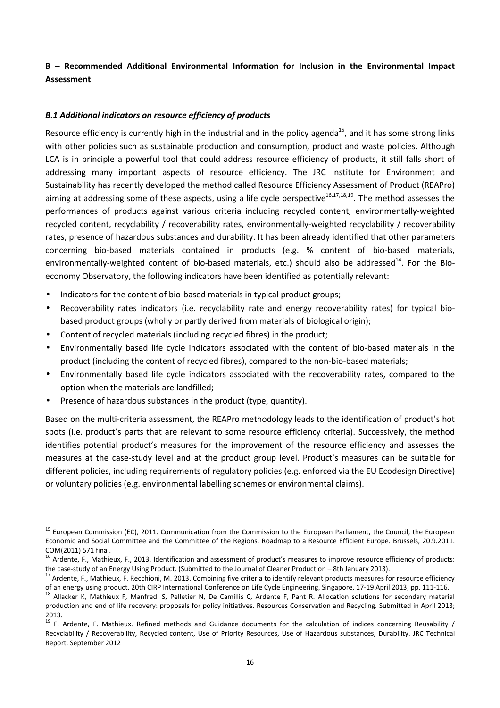## **B – Recommended Additional Environmental Information for Inclusion in the Environmental Impact Assessment**

## *B.1 Additional indicators on resource efficiency of products*

Resource efficiency is currently high in the industrial and in the policy agenda<sup>15</sup>, and it has some strong links with other policies such as sustainable production and consumption, product and waste policies. Although LCA is in principle a powerful tool that could address resource efficiency of products, it still falls short of addressing many important aspects of resource efficiency. The JRC Institute for Environment and Sustainability has recently developed the method called Resource Efficiency Assessment of Product (REAPro) aiming at addressing some of these aspects, using a life cycle perspective<sup>16,17,18,19</sup>. The method assesses the performances of products against various criteria including recycled content, environmentally-weighted recycled content, recyclability / recoverability rates, environmentally-weighted recyclability / recoverability rates, presence of hazardous substances and durability. It has been already identified that other parameters concerning bio-based materials contained in products (e.g. % content of bio-based materials, environmentally-weighted content of bio-based materials, etc.) should also be addressed<sup>14</sup>. For the Bioeconomy Observatory, the following indicators have been identified as potentially relevant:

- Indicators for the content of bio-based materials in typical product groups;
- Recoverability rates indicators (i.e. recyclability rate and energy recoverability rates) for typical biobased product groups (wholly or partly derived from materials of biological origin);
- Content of recycled materials (including recycled fibres) in the product;
- Environmentally based life cycle indicators associated with the content of bio-based materials in the product (including the content of recycled fibres), compared to the non-bio-based materials;
- Environmentally based life cycle indicators associated with the recoverability rates, compared to the option when the materials are landfilled;
- Presence of hazardous substances in the product (type, quantity).

l

Based on the multi-criteria assessment, the REAPro methodology leads to the identification of product's hot spots (i.e. product's parts that are relevant to some resource efficiency criteria). Successively, the method identifies potential product's measures for the improvement of the resource efficiency and assesses the measures at the case-study level and at the product group level. Product's measures can be suitable for different policies, including requirements of regulatory policies (e.g. enforced via the EU Ecodesign Directive) or voluntary policies (e.g. environmental labelling schemes or environmental claims).

<sup>&</sup>lt;sup>15</sup> European Commission (EC), 2011. Communication from the Commission to the European Parliament, the Council, the European Economic and Social Committee and the Committee of the Regions. Roadmap to a Resource Efficient Europe. Brussels, 20.9.2011. COM(2011) 571 final.

<sup>&</sup>lt;sup>16</sup> Ardente, F., Mathieux, F., 2013. Identification and assessment of product's measures to improve resource efficiency of products: the case-study of an Energy Using Product. (Submitted to the Journal of Cleaner Production – 8th January 2013).

<sup>&</sup>lt;sup>17</sup> Ardente, F., Mathieux, F. Recchioni, M. 2013. Combining five criteria to identify relevant products measures for resource efficiency of an energy using product. 20th CIRP International Conference on Life Cycle Engineering, Singapore, 17-19 April 2013, pp. 111-116.

<sup>8</sup> Allacker K, Mathieux F, Manfredi S, Pelletier N, De Camillis C, Ardente F, Pant R. Allocation solutions for secondary material production and end of life recovery: proposals for policy initiatives. Resources Conservation and Recycling. Submitted in April 2013; 2013.

 $19$  F. Ardente, F. Mathieux. Refined methods and Guidance documents for the calculation of indices concerning Reusability / Recyclability / Recoverability, Recycled content, Use of Priority Resources, Use of Hazardous substances, Durability. JRC Technical Report. September 2012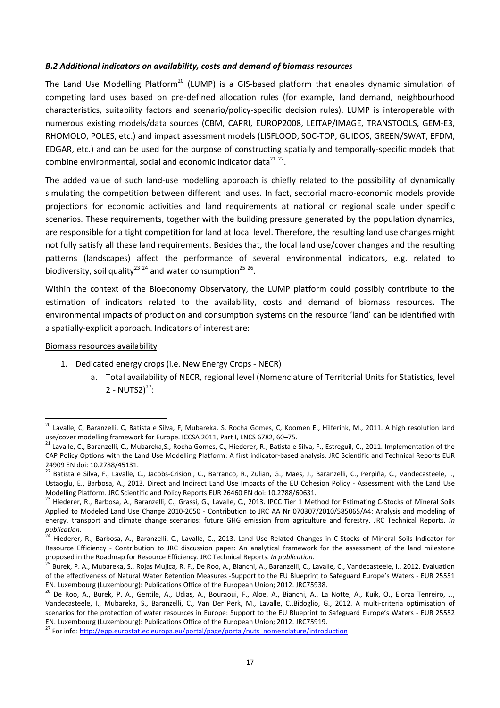#### *B.2 Additional indicators on availability, costs and demand of biomass resources*

The Land Use Modelling Platform<sup>20</sup> (LUMP) is a GIS-based platform that enables dynamic simulation of competing land uses based on pre-defined allocation rules (for example, land demand, neighbourhood characteristics, suitability factors and scenario/policy-specific decision rules). LUMP is interoperable with numerous existing models/data sources (CBM, CAPRI, EUROP2008, LEITAP/IMAGE, TRANSTOOLS, GEM-E3, RHOMOLO, POLES, etc.) and impact assessment models (LISFLOOD, SOC-TOP, GUIDOS, GREEN/SWAT, EFDM, EDGAR, etc.) and can be used for the purpose of constructing spatially and temporally-specific models that combine environmental, social and economic indicator data $^{21}$   $^{22}$ .

The added value of such land-use modelling approach is chiefly related to the possibility of dynamically simulating the competition between different land uses. In fact, sectorial macro-economic models provide projections for economic activities and land requirements at national or regional scale under specific scenarios. These requirements, together with the building pressure generated by the population dynamics, are responsible for a tight competition for land at local level. Therefore, the resulting land use changes might not fully satisfy all these land requirements. Besides that, the local land use/cover changes and the resulting patterns (landscapes) affect the performance of several environmental indicators, e.g. related to biodiversity, soil quality<sup>23</sup> <sup>24</sup> and water consumption<sup>25</sup> <sup>26</sup>.

Within the context of the Bioeconomy Observatory, the LUMP platform could possibly contribute to the estimation of indicators related to the availability, costs and demand of biomass resources. The environmental impacts of production and consumption systems on the resource 'land' can be identified with a spatially-explicit approach. Indicators of interest are:

#### Biomass resources availability

l

- 1. Dedicated energy crops (i.e. New Energy Crops NECR)
	- a. Total availability of NECR, regional level (Nomenclature of Territorial Units for Statistics, level 2 - NUTS2) $^{27}$ :

<sup>&</sup>lt;sup>20</sup> Lavalle. C. Baranzelli, C. Batista e Silva, F. Mubareka, S, Rocha Gomes, C, Koomen E., Hilferink, M., 2011. A high resolution land use/cover modelling framework for Europe. ICCSA 2011, Part I, LNCS 6782, 60–75.

<sup>&</sup>lt;sup>21</sup> Lavalle, C., Baranzelli, C., Mubareka, S., Rocha Gomes, C., Hiederer, R., Batista e Silva, F., Estreguil, C., 2011. Implementation of the CAP Policy Options with the Land Use Modelling Platform: A first indicator-based analysis. JRC Scientific and Technical Reports EUR 24909 EN doi: 10.2788/45131.

<sup>&</sup>lt;sup>22</sup> Batista e Silva, F., Lavalle, C., Jacobs-Crisioni, C., Barranco, R., Zulian, G., Maes, J., Baranzelli, C., Perpiña, C., Vandecasteele, I., Ustaoglu, E., Barbosa, A., 2013. Direct and Indirect Land Use Impacts of the EU Cohesion Policy - Assessment with the Land Use Modelling Platform. JRC Scientific and Policy Reports EUR 26460 EN doi: 10.2788/60631.

<sup>&</sup>lt;sup>23</sup> Hiederer, R., Barbosa, A., Baranzelli, C., Grassi, G., Lavalle, C., 2013. IPCC Tier 1 Method for Estimating C-Stocks of Mineral Soils Applied to Modeled Land Use Change 2010-2050 - Contribution to JRC AA Nr 070307/2010/585065/A4: Analysis and modeling of energy, transport and climate change scenarios: future GHG emission from agriculture and forestry. JRC Technical Reports. *In publication*.

<sup>&</sup>lt;sup>4</sup> Hiederer, R., Barbosa, A., Baranzelli, C., Lavalle, C., 2013. Land Use Related Changes in C-Stocks of Mineral Soils Indicator for Resource Efficiency - Contribution to JRC discussion paper: An analytical framework for the assessment of the land milestone proposed in the Roadmap for Resource Efficiency. JRC Technical Reports. *In publication*.

<sup>25</sup> Burek, P. A., Mubareka, S., Rojas Mujica, R. F., De Roo, A., Bianchi, A., Baranzelli, C., Lavalle, C., Vandecasteele, I., 2012. Evaluation of the effectiveness of Natural Water Retention Measures -Support to the EU Blueprint to Safeguard Europe's Waters - EUR 25551 EN. Luxembourg (Luxembourg): Publications Office of the European Union; 2012. JRC75938.

<sup>26</sup> De Roo, A., Burek, P. A., Gentile, A., Udias, A., Bouraoui, F., Aloe, A., Bianchi, A., La Notte, A., Kuik, O., Elorza Tenreiro, J., Vandecasteele, I., Mubareka, S., Baranzelli, C., Van Der Perk, M., Lavalle, C.,Bidoglio, G., 2012. A multi-criteria optimisation of scenarios for the protection of water resources in Europe: Support to the EU Blueprint to Safeguard Europe's Waters - EUR 25552 EN. Luxembourg (Luxembourg): Publications Office of the European Union; 2012. JRC75919.

<sup>&</sup>lt;sup>27</sup> For info: http://epp.eurostat.ec.europa.eu/portal/page/portal/nuts\_nomenclature/introduction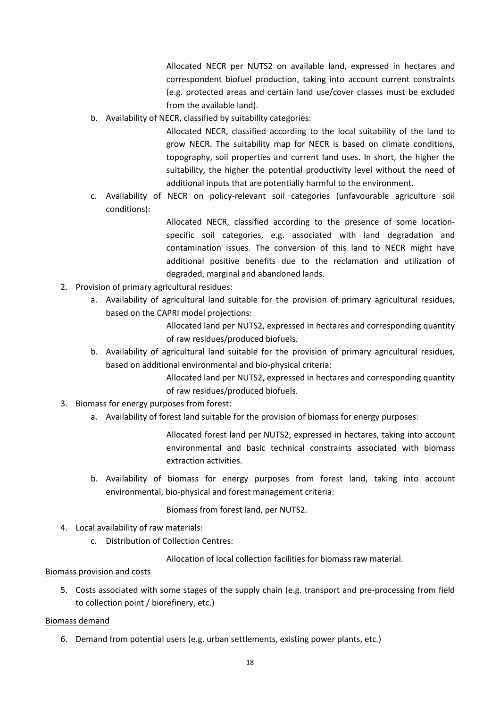Allocated NECR per NUTS2 on available land, expressed in hectares and correspondent biofuel production, taking into account current constraints (e.g. protected areas and certain land use/cover classes must be excluded from the available land).

b. Availability of NECR, classified by suitability categories:

Allocated NECR, classified according to the local suitability of the land to grow NECR. The suitability map for NECR is based on climate conditions, topography, soil properties and current land uses. In short, the higher the suitability, the higher the potential productivity level without the need of additional inputs that are potentially harmful to the environment.

c. Availability of NECR on policy-relevant soil categories (unfavourable agriculture soil conditions):

> Allocated NECR, classified according to the presence of some locationspecific soil categories, e.g. associated with land degradation and contamination issues. The conversion of this land to NECR might have additional positive benefits due to the reclamation and utilization of degraded, marginal and abandoned lands.

- 2. Provision of primary agricultural residues:
	- a. Availability of agricultural land suitable for the provision of primary agricultural residues, based on the CAPRI model projections:

Allocated land per NUTS2, expressed in hectares and corresponding quantity of raw residues/produced biofuels.

b. Availability of agricultural land suitable for the provision of primary agricultural residues, based on additional environmental and bio-physical criteria:

> Allocated land per NUTS2, expressed in hectares and corresponding quantity of raw residues/produced biofuels.

- 3. Biomass for energy purposes from forest:
	- a. Availability of forest land suitable for the provision of biomass for energy purposes:

Allocated forest land per NUTS2, expressed in hectares, taking into account environmental and basic technical constraints associated with biomass extraction activities.

b. Availability of biomass for energy purposes from forest land, taking into account environmental, bio-physical and forest management criteria:

Biomass from forest land, per NUTS2.

- 4. Local availability of raw materials:
	- c. Distribution of Collection Centres:

Allocation of local collection facilities for biomass raw material.

#### Biomass provision and costs

5. Costs associated with some stages of the supply chain (e.g. transport and pre-processing from field to collection point / biorefinery, etc.)

#### Biomass demand

6. Demand from potential users (e.g. urban settlements, existing power plants, etc.)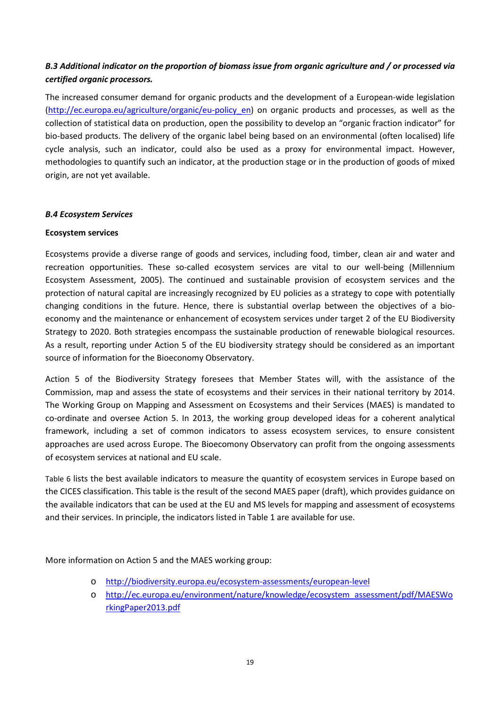## *B.3 Additional indicator on the proportion of biomass issue from organic agriculture and / or processed via certified organic processors.*

The increased consumer demand for organic products and the development of a European-wide legislation (http://ec.europa.eu/agriculture/organic/eu-policy\_en) on organic products and processes, as well as the collection of statistical data on production, open the possibility to develop an "organic fraction indicator" for bio-based products. The delivery of the organic label being based on an environmental (often localised) life cycle analysis, such an indicator, could also be used as a proxy for environmental impact. However, methodologies to quantify such an indicator, at the production stage or in the production of goods of mixed origin, are not yet available.

## *B.4 Ecosystem Services*

## **Ecosystem services**

Ecosystems provide a diverse range of goods and services, including food, timber, clean air and water and recreation opportunities. These so-called ecosystem services are vital to our well-being (Millennium Ecosystem Assessment, 2005). The continued and sustainable provision of ecosystem services and the protection of natural capital are increasingly recognized by EU policies as a strategy to cope with potentially changing conditions in the future. Hence, there is substantial overlap between the objectives of a bioeconomy and the maintenance or enhancement of ecosystem services under target 2 of the EU Biodiversity Strategy to 2020. Both strategies encompass the sustainable production of renewable biological resources. As a result, reporting under Action 5 of the EU biodiversity strategy should be considered as an important source of information for the Bioeconomy Observatory.

Action 5 of the Biodiversity Strategy foresees that Member States will, with the assistance of the Commission, map and assess the state of ecosystems and their services in their national territory by 2014. The Working Group on Mapping and Assessment on Ecosystems and their Services (MAES) is mandated to co-ordinate and oversee Action 5. In 2013, the working group developed ideas for a coherent analytical framework, including a set of common indicators to assess ecosystem services, to ensure consistent approaches are used across Europe. The Bioecomony Observatory can profit from the ongoing assessments of ecosystem services at national and EU scale.

Table 6 lists the best available indicators to measure the quantity of ecosystem services in Europe based on the CICES classification. This table is the result of the second MAES paper (draft), which provides guidance on the available indicators that can be used at the EU and MS levels for mapping and assessment of ecosystems and their services. In principle, the indicators listed in Table 1 are available for use.

More information on Action 5 and the MAES working group:

- o http://biodiversity.europa.eu/ecosystem-assessments/european-level
- o http://ec.europa.eu/environment/nature/knowledge/ecosystem\_assessment/pdf/MAESWo rkingPaper2013.pdf